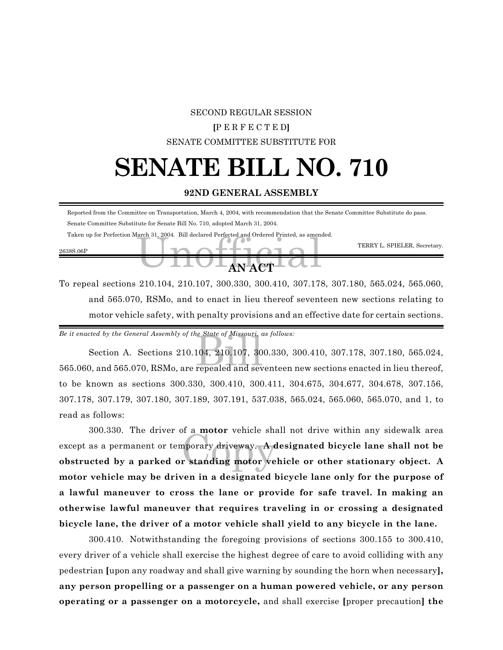#### SECOND REGULAR SESSION

#### **[**P E R F E C T E D**]**

#### SENATE COMMITTEE SUBSTITUTE FOR

### **SENATE BILL NO. 710**

#### **92ND GENERAL ASSEMBLY**

|           | Reported from the Committee on Transportation, March 4, 2004, with recommendation that the Senate Committee Substitute do pass. |                              |
|-----------|---------------------------------------------------------------------------------------------------------------------------------|------------------------------|
|           | Senate Committee Substitute for Senate Bill No. 710, adopted March 31, 2004.                                                    |                              |
| 2638S.06P | Taken up for Perfection March 31, 2004. Bill declared Perfected and Ordered Printed, as amended.                                | TERRY L. SPIELER, Secretary. |
|           | $-4NAT$                                                                                                                         |                              |

To repeal sections 210.104, 210.107, 300.330, 300.410, 307.178, 307.180, 565.024, 565.060, and 565.070, RSMo, and to enact in lieu thereof seventeen new sections relating to motor vehicle safety, with penalty provisions and an effective date for certain sections.

*Be it enacted by the General Assembly of the State of Missouri, as follows:*

e State of Missouri, compared to the State of Missouri, compared and several set  $\frac{210.107}{\pi}$  and several set  $\frac{210}{\pi}$ Section A. Sections 210.104, 210.107, 300.330, 300.410, 307.178, 307.180, 565.024, 565.060, and 565.070, RSMo, are repealed and seventeen new sections enacted in lieu thereof, to be known as sections 300.330, 300.410, 300.411, 304.675, 304.677, 304.678, 307.156, 307.178, 307.179, 307.180, 307.189, 307.191, 537.038, 565.024, 565.060, 565.070, and 1, to read as follows:

soo.550. The driver of a **motor** vehicle shall not drive within any sidewalk area<br>except as a permanent or temporary driveway. A designated bicycle lane shall not be<br>obstructed by a parked or standing motor vehicle or othe 300.330. The driver of a **motor** vehicle shall not drive within any sidewalk area except as a permanent or temporary driveway. **A designated bicycle lane shall not be motor vehicle may be driven in a designated bicycle lane only for the purpose of a lawful maneuver to cross the lane or provide for safe travel. In making an otherwise lawful maneuver that requires traveling in or crossing a designated bicycle lane, the driver of a motor vehicle shall yield to any bicycle in the lane.**

300.410. Notwithstanding the foregoing provisions of sections 300.155 to 300.410, every driver of a vehicle shall exercise the highest degree of care to avoid colliding with any pedestrian **[**upon any roadway and shall give warning by sounding the horn when necessary**], any person propelling or a passenger on a human powered vehicle, or any person operating or a passenger on a motorcycle,** and shall exercise **[**proper precaution**] the**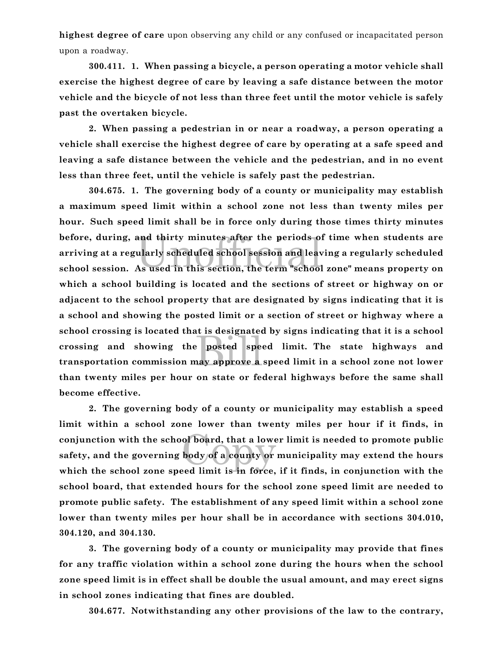**highest degree of care** upon observing any child or any confused or incapacitated person upon a roadway.

**300.411. 1. When passing a bicycle, a person operating a motor vehicle shall exercise the highest degree of care by leaving a safe distance between the motor vehicle and the bicycle of not less than three feet until the motor vehicle is safely past the overtaken bicycle.**

**2. When passing a pedestrian in or near a roadway, a person operating a vehicle shall exercise the highest degree of care by operating at a safe speed and leaving a safe distance between the vehicle and the pedestrian, and in no event less than three feet, until the vehicle is safely past the pedestrian.**

and thirty minutes after the periods o<br>ularly scheduled school session and leav<br>As used in this section, the term "school Billet Subsequence<br>Billet Species<br>Billet Species Species Species Species Species Species Species Species Species Species Species Species Species **304.675. 1. The governing body of a county or municipality may establish a maximum speed limit within a school zone not less than twenty miles per hour. Such speed limit shall be in force only during those times thirty minutes before, during, and thirty minutes after the periods of time when students are arriving at a regularly scheduled school session and leaving a regularly scheduled school session. As used in this section, the term "school zone" means property on which a school building is located and the sections of street or highway on or adjacent to the school property that are designated by signs indicating that it is a school and showing the posted limit or a section of street or highway where a school crossing is located that is designated by signs indicating that it is a school crossing and showing the posted speed limit. The state highways and transportation commission may approve a speed limit in a school zone not lower than twenty miles per hour on state or federal highways before the same shall become effective.**

ol board, that a lowe<br>body of a county or **2. The governing body of a county or municipality may establish a speed limit within a school zone lower than twenty miles per hour if it finds, in conjunction with the school board, that a lower limit is needed to promote public safety, and the governing body of a county or municipality may extend the hours which the school zone speed limit is in force, if it finds, in conjunction with the school board, that extended hours for the school zone speed limit are needed to promote public safety. The establishment of any speed limit within a school zone lower than twenty miles per hour shall be in accordance with sections 304.010, 304.120, and 304.130.**

**3. The governing body of a county or municipality may provide that fines for any traffic violation within a school zone during the hours when the school zone speed limit is in effect shall be double the usual amount, and may erect signs in school zones indicating that fines are doubled.**

**304.677. Notwithstanding any other provisions of the law to the contrary,**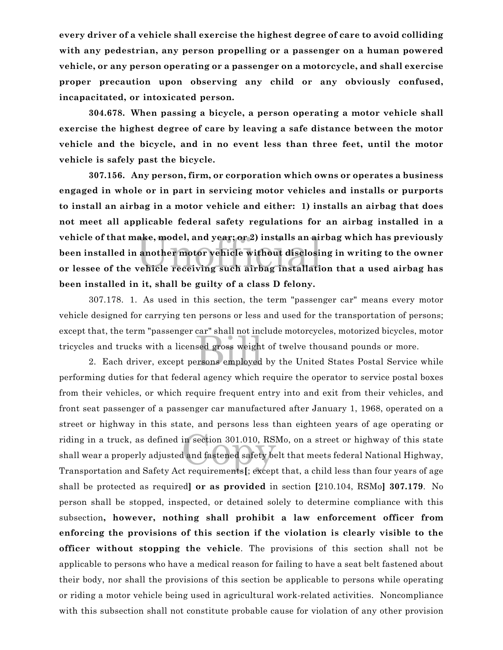**every driver of a vehicle shall exercise the highest degree of care to avoid colliding with any pedestrian, any person propelling or a passenger on a human powered vehicle, or any person operating or a passenger on a motorcycle, and shall exercise proper precaution upon observing any child or any obviously confused, incapacitated, or intoxicated person.**

**304.678. When passing a bicycle, a person operating a motor vehicle shall exercise the highest degree of care by leaving a safe distance between the motor vehicle and the bicycle, and in no event less than three feet, until the motor vehicle is safely past the bicycle.**

ake, model, and year; or 2) installs an air<br>another motor vehicle without disclosi:<br>vehicle receiving such airbag installati **307.156. Any person, firm, or corporation which owns or operates a business engaged in whole or in part in servicing motor vehicles and installs or purports to install an airbag in a motor vehicle and either: 1) installs an airbag that does not meet all applicable federal safety regulations for an airbag installed in a vehicle of that make, model, and year; or 2) installs an airbag which has previously been installed in another motor vehicle without disclosing in writing to the owner or lessee of the vehicle receiving such airbag installation that a used airbag has been installed in it, shall be guilty of a class D felony.**

ed Shah hot me<br>sed gross weight<br>prsons employed 307.178. 1. As used in this section, the term "passenger car" means every motor vehicle designed for carrying ten persons or less and used for the transportation of persons; except that, the term "passenger car" shall not include motorcycles, motorized bicycles, motor tricycles and trucks with a licensed gross weight of twelve thousand pounds or more.

riding in a truck, as defined in section 301.010, RSMo, on a street or highway of this state<br>shall wear a properly adjusted and fastened safety belt that meets federal National Highway,<br>Transportation and Safety Act requir 2. Each driver, except persons employed by the United States Postal Service while performing duties for that federal agency which require the operator to service postal boxes from their vehicles, or which require frequent entry into and exit from their vehicles, and front seat passenger of a passenger car manufactured after January 1, 1968, operated on a street or highway in this state, and persons less than eighteen years of age operating or shall wear a properly adjusted and fastened safety belt that meets federal National Highway, Transportation and Safety Act requirements**[**; except that, a child less than four years of age shall be protected as required**] or as provided** in section **[**210.104, RSMo**] 307.179**. No person shall be stopped, inspected, or detained solely to determine compliance with this subsection**, however, nothing shall prohibit a law enforcement officer from enforcing the provisions of this section if the violation is clearly visible to the officer without stopping the vehicle**. The provisions of this section shall not be applicable to persons who have a medical reason for failing to have a seat belt fastened about their body, nor shall the provisions of this section be applicable to persons while operating or riding a motor vehicle being used in agricultural work-related activities. Noncompliance with this subsection shall not constitute probable cause for violation of any other provision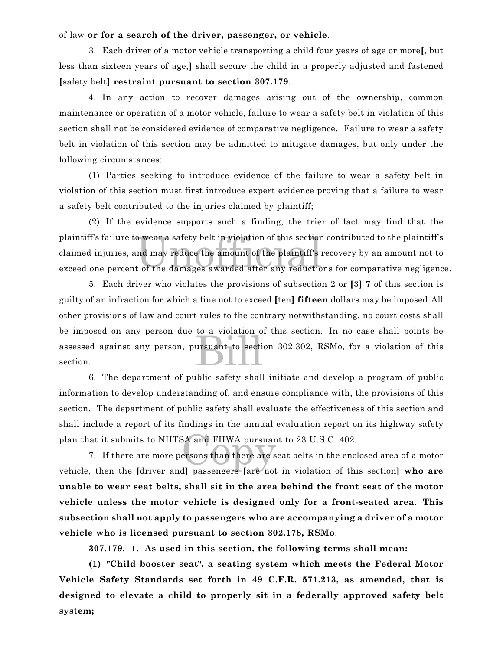#### of law **or for a search of the driver, passenger, or vehicle**.

3. Each driver of a motor vehicle transporting a child four years of age or more**[**, but less than sixteen years of age,**]** shall secure the child in a properly adjusted and fastened **[**safety belt**] restraint pursuant to section 307.179**.

4. In any action to recover damages arising out of the ownership, common maintenance or operation of a motor vehicle, failure to wear a safety belt in violation of this section shall not be considered evidence of comparative negligence. Failure to wear a safety belt in violation of this section may be admitted to mitigate damages, but only under the following circumstances:

(1) Parties seeking to introduce evidence of the failure to wear a safety belt in violation of this section must first introduce expert evidence proving that a failure to wear a safety belt contributed to the injuries claimed by plaintiff;

o wear a safety belt in violation of this section<br>nd may reduce the amount of the plaintiff's<br>t of the damages awarded after any reductio (2) If the evidence supports such a finding, the trier of fact may find that the plaintiff's failure to wear a safety belt in violation of this section contributed to the plaintiff's claimed injuries, and may reduce the amount of the plaintiff's recovery by an amount not to exceed one percent of the damages awarded after any reductions for comparative negligence.

ursuant to section 5. Each driver who violates the provisions of subsection 2 or **[**3**] 7** of this section is guilty of an infraction for which a fine not to exceed **[**ten**] fifteen** dollars may be imposed.All other provisions of law and court rules to the contrary notwithstanding, no court costs shall be imposed on any person due to a violation of this section. In no case shall points be assessed against any person, pursuant to section 302.302, RSMo, for a violation of this section.

6. The department of public safety shall initiate and develop a program of public information to develop understanding of, and ensure compliance with, the provisions of this section. The department of public safety shall evaluate the effectiveness of this section and shall include a report of its findings in the annual evaluation report on its highway safety plan that it submits to NHTSA and FHWA pursuant to 23 U.S.C. 402.

EX and FHWA pursuan<br>ersons than there are s<br>dl nassengers lare not 7. If there are more persons than there are seat belts in the enclosed area of a motor vehicle, then the **[**driver and**]** passengers **[**are not in violation of this section**] who are unable to wear seat belts, shall sit in the area behind the front seat of the motor vehicle unless the motor vehicle is designed only for a front-seated area. This subsection shall not apply to passengers who are accompanying a driver of a motor vehicle who is licensed pursuant to section 302.178, RSMo**.

**307.179. 1. As used in this section, the following terms shall mean:**

**(1) "Child booster seat", a seating system which meets the Federal Motor Vehicle Safety Standards set forth in 49 C.F.R. 571.213, as amended, that is designed to elevate a child to properly sit in a federally approved safety belt system;**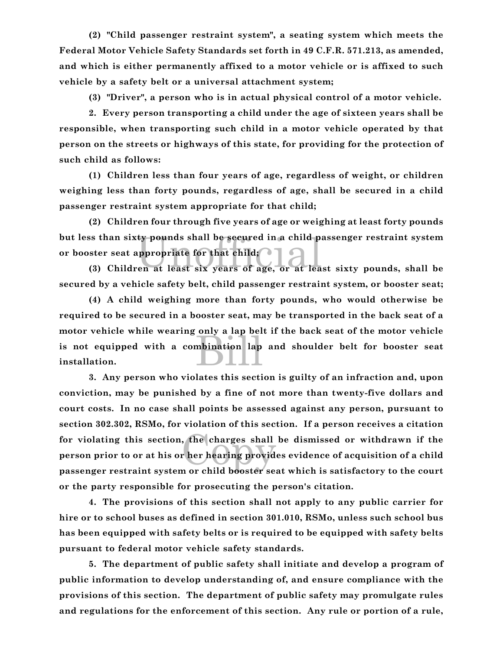**(2) "Child passenger restraint system", a seating system which meets the Federal Motor Vehicle Safety Standards set forth in 49 C.F.R. 571.213, as amended, and which is either permanently affixed to a motor vehicle or is affixed to such vehicle by a safety belt or a universal attachment system;**

**(3) "Driver", a person who is in actual physical control of a motor vehicle.**

**2. Every person transporting a child under the age of sixteen years shall be responsible, when transporting such child in a motor vehicle operated by that person on the streets or highways of this state, for providing for the protection of such child as follows:**

**(1) Children less than four years of age, regardless of weight, or children weighing less than forty pounds, regardless of age, shall be secured in a child passenger restraint system appropriate for that child;**

In the secured in a child passenger restraint system<br>
Ster seat appropriate for that child;<br>
(3) Children at least six years of age, or at least sixty pounds, shall be **(2) Children four through five years of age or weighing at least forty pounds but less than sixty pounds shall be secured in a child passenger restraint system or booster seat appropriate for that child;**

**secured by a vehicle safety belt, child passenger restraint system, or booster seat;**

bination lap **(4) A child weighing more than forty pounds, who would otherwise be required to be secured in a booster seat, may be transported in the back seat of a motor vehicle while wearing only a lap belt if the back seat of the motor vehicle is not equipped with a combination lap and shoulder belt for booster seat installation.**

the charges shall<br>
rher hearing provident<br>
reckild heasterse **3. Any person who violates this section is guilty of an infraction and, upon conviction, may be punished by a fine of not more than twenty-five dollars and court costs. In no case shall points be assessed against any person, pursuant to section 302.302, RSMo, for violation of this section. If a person receives a citation for violating this section, the charges shall be dismissed or withdrawn if the person prior to or at his or her hearing provides evidence of acquisition of a child passenger restraint system or child booster seat which is satisfactory to the court or the party responsible for prosecuting the person's citation.**

**4. The provisions of this section shall not apply to any public carrier for hire or to school buses as defined in section 301.010, RSMo, unless such school bus has been equipped with safety belts or is required to be equipped with safety belts pursuant to federal motor vehicle safety standards.**

**5. The department of public safety shall initiate and develop a program of public information to develop understanding of, and ensure compliance with the provisions of this section. The department of public safety may promulgate rules and regulations for the enforcement of this section. Any rule or portion of a rule,**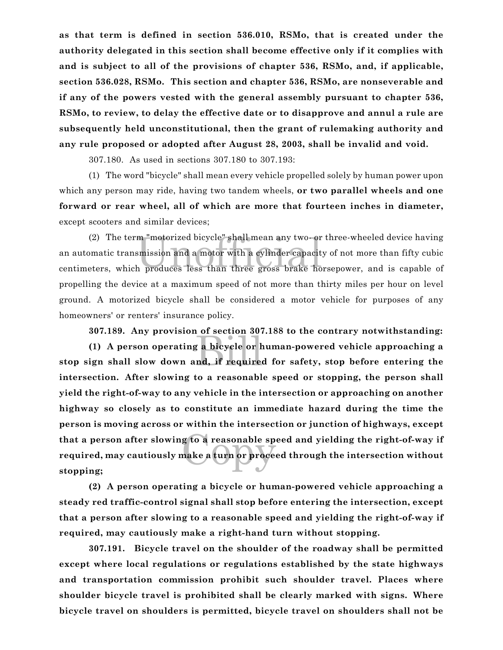**as that term is defined in section 536.010, RSMo, that is created under the authority delegated in this section shall become effective only if it complies with and is subject to all of the provisions of chapter 536, RSMo, and, if applicable, section 536.028, RSMo. This section and chapter 536, RSMo, are nonseverable and if any of the powers vested with the general assembly pursuant to chapter 536, RSMo, to review, to delay the effective date or to disapprove and annul a rule are subsequently held unconstitutional, then the grant of rulemaking authority and any rule proposed or adopted after August 28, 2003, shall be invalid and void.**

307.180. As used in sections 307.180 to 307.193:

(1) The word "bicycle" shall mean every vehicle propelled solely by human power upon which any person may ride, having two tandem wheels, **or two parallel wheels and one forward or rear wheel, all of which are more that fourteen inches in diameter,** except scooters and similar devices;

(2) The term "motorized bicycle" shall mean any two- or three-wheeled device having<br>an automatic transmission and a motor with a cylinder capacity of not more than fifty cubic<br>centimeters, which produces less than three gr (2) The term "motorized bicycle" shall mean any two- or three-wheeled device having an automatic transmission and a motor with a cylinder capacity of not more than fifty cubic propelling the device at a maximum speed of not more than thirty miles per hour on level ground. A motorized bicycle shall be considered a motor vehicle for purposes of any homeowners' or renters' insurance policy.

**307.189. Any provision of section 307.188 to the contrary notwithstanding:**

g a bicycle or h<br>nd, if required g to a reasonable sp<br>nake a turn or proce **(1) A person operating a bicycle or human-powered vehicle approaching a stop sign shall slow down and, if required for safety, stop before entering the intersection. After slowing to a reasonable speed or stopping, the person shall yield the right-of-way to any vehicle in the intersection or approaching on another highway so closely as to constitute an immediate hazard during the time the person is moving across or within the intersection or junction of highways, except that a person after slowing to a reasonable speed and yielding the right-of-way if required, may cautiously make a turn or proceed through the intersection without stopping;**

**(2) A person operating a bicycle or human-powered vehicle approaching a steady red traffic-control signal shall stop before entering the intersection, except that a person after slowing to a reasonable speed and yielding the right-of-way if required, may cautiously make a right-hand turn without stopping.**

**307.191. Bicycle travel on the shoulder of the roadway shall be permitted except where local regulations or regulations established by the state highways and transportation commission prohibit such shoulder travel. Places where shoulder bicycle travel is prohibited shall be clearly marked with signs. Where bicycle travel on shoulders is permitted, bicycle travel on shoulders shall not be**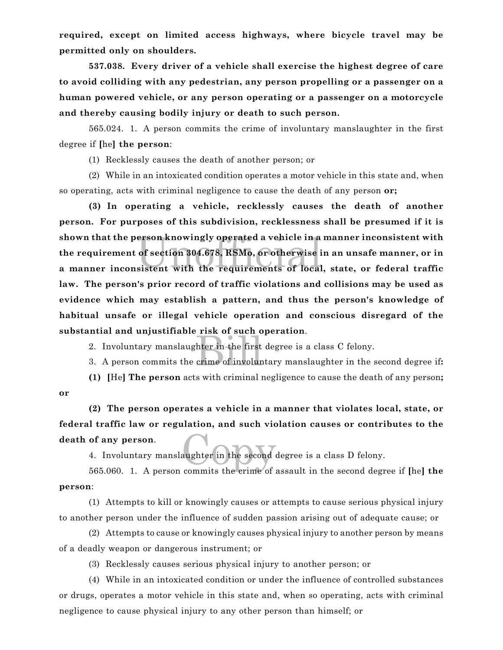**required, except on limited access highways, where bicycle travel may be permitted only on shoulders.**

**537.038. Every driver of a vehicle shall exercise the highest degree of care to avoid colliding with any pedestrian, any person propelling or a passenger on a human powered vehicle, or any person operating or a passenger on a motorcycle and thereby causing bodily injury or death to such person.**

565.024. 1. A person commits the crime of involuntary manslaughter in the first degree if **[**he**] the person**:

(1) Recklessly causes the death of another person; or

(2) While in an intoxicated condition operates a motor vehicle in this state and, when so operating, acts with criminal negligence to cause the death of any person **or;**

erson knowingly operated a vehicle in a<br>of section 304.678, RSMo, or otherwise i<br>sistent with the requirements of local **(3) In operating a vehicle, recklessly causes the death of another person. For purposes of this subdivision, recklessness shall be presumed if it is shown that the person knowingly operated a vehicle in a manner inconsistent with the requirement of section 304.678, RSMo, or otherwise in an unsafe manner, or in a manner inconsistent with the requirements of local, state, or federal traffic law. The person's prior record of traffic violations and collisions may be used as evidence which may establish a pattern, and thus the person's knowledge of habitual unsafe or illegal vehicle operation and conscious disregard of the substantial and unjustifiable risk of such operation**.

2. Involuntary manslaughter in the first degree is a class C felony.

hter in the first<br>crime of involure 3. A person commits the crime of involuntary manslaughter in the second degree if**:**

**(1) [**He**] The person** acts with criminal negligence to cause the death of any person**; or**

aughter in the second **(2) The person operates a vehicle in a manner that violates local, state, or federal traffic law or regulation, and such violation causes or contributes to the death of any person**.

4. Involuntary manslaughter in the second degree is a class D felony.

565.060. 1. A person commits the crime of assault in the second degree if **[**he**] the person**:

(1) Attempts to kill or knowingly causes or attempts to cause serious physical injury to another person under the influence of sudden passion arising out of adequate cause; or

(2) Attempts to cause or knowingly causes physical injury to another person by means of a deadly weapon or dangerous instrument; or

(3) Recklessly causes serious physical injury to another person; or

(4) While in an intoxicated condition or under the influence of controlled substances or drugs, operates a motor vehicle in this state and, when so operating, acts with criminal negligence to cause physical injury to any other person than himself; or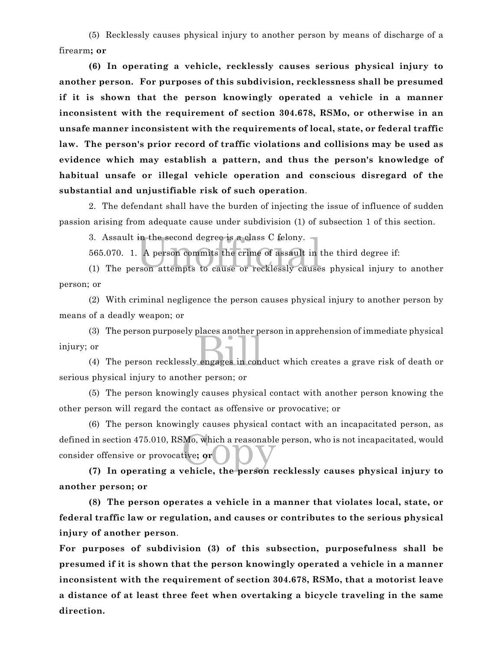(5) Recklessly causes physical injury to another person by means of discharge of a firearm**; or**

**(6) In operating a vehicle, recklessly causes serious physical injury to another person. For purposes of this subdivision, recklessness shall be presumed if it is shown that the person knowingly operated a vehicle in a manner inconsistent with the requirement of section 304.678, RSMo, or otherwise in an unsafe manner inconsistent with the requirements of local, state, or federal traffic law. The person's prior record of traffic violations and collisions may be used as evidence which may establish a pattern, and thus the person's knowledge of habitual unsafe or illegal vehicle operation and conscious disregard of the substantial and unjustifiable risk of such operation**.

2. The defendant shall have the burden of injecting the issue of influence of sudden passion arising from adequate cause under subdivision (1) of subsection 1 of this section.

3. Assault in the second degree is a class C felony.  $\blacksquare$ 

in the second degree is a class C felony.<br>A person commits the crime of assault in the rson attempts to cause or recklessly cause. 565.070. 1. A person commits the crime of assault in the third degree if:

(1) The person attempts to cause or recklessly causes physical injury to another person; or

(2) With criminal negligence the person causes physical injury to another person by means of a deadly weapon; or

places ahouter per (3) The person purposely places another person in apprehension of immediate physical injury; or

(4) The person recklessly engages in conduct which creates a grave risk of death or serious physical injury to another person; or

(5) The person knowingly causes physical contact with another person knowing the other person will regard the contact as offensive or provocative; or

defined in section 475.010, RSMo, which a reasonable person, who is not incapacitated, would<br>consider offensive or provocative; or<br>(7) In operating a vehicle the person recklessly causes physical injury to (6) The person knowingly causes physical contact with an incapacitated person, as consider offensive or provocative**; or**

**(7) In operating a vehicle, the person recklessly causes physical injury to another person; or**

**(8) The person operates a vehicle in a manner that violates local, state, or federal traffic law or regulation, and causes or contributes to the serious physical injury of another person**.

**For purposes of subdivision (3) of this subsection, purposefulness shall be presumed if it is shown that the person knowingly operated a vehicle in a manner inconsistent with the requirement of section 304.678, RSMo, that a motorist leave a distance of at least three feet when overtaking a bicycle traveling in the same direction.**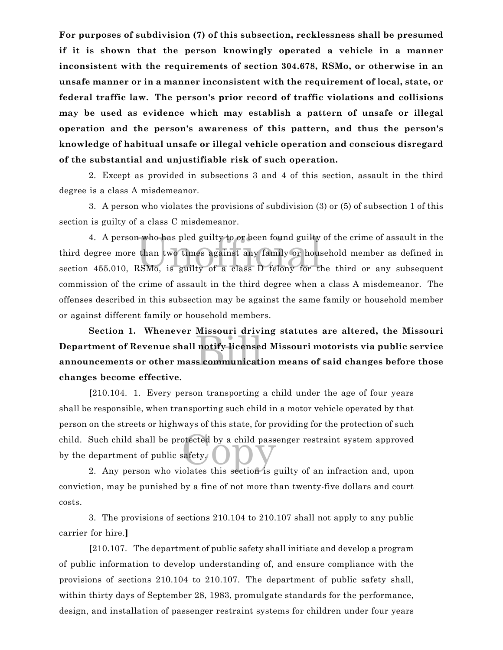**For purposes of subdivision (7) of this subsection, recklessness shall be presumed if it is shown that the person knowingly operated a vehicle in a manner inconsistent with the requirements of section 304.678, RSMo, or otherwise in an unsafe manner or in a manner inconsistent with the requirement of local, state, or federal traffic law. The person's prior record of traffic violations and collisions may be used as evidence which may establish a pattern of unsafe or illegal operation and the person's awareness of this pattern, and thus the person's knowledge of habitual unsafe or illegal vehicle operation and conscious disregard of the substantial and unjustifiable risk of such operation.**

2. Except as provided in subsections 3 and 4 of this section, assault in the third degree is a class A misdemeanor.

3. A person who violates the provisions of subdivision (3) or (5) of subsection 1 of this section is guilty of a class C misdemeanor.

4. A person who has pled guilty to or been found guilty of the crime of assault in the<br>third degree more than two times against any family or household member as defined in<br>section 455.010, RSMo, is guilty of a class D fel 4. A person who has pled guilty to or been found guilty of the crime of assault in the third degree more than two times against any family or household member as defined in commission of the crime of assault in the third degree when a class A misdemeanor. The offenses described in this subsection may be against the same family or household member or against different family or household members.

nussour drive<br>
notify licenses<br>
s communicati **Section 1. Whenever Missouri driving statutes are altered, the Missouri Department of Revenue shall notify licensed Missouri motorists via public service announcements or other mass communication means of said changes before those changes become effective.**

child. Such child shall be protected by a child passenger restraint system approved<br>by the department of public safety. **[**210.104. 1. Every person transporting a child under the age of four years shall be responsible, when transporting such child in a motor vehicle operated by that person on the streets or highways of this state, for providing for the protection of such by the department of public safety.

2. Any person who violates this section is guilty of an infraction and, upon conviction, may be punished by a fine of not more than twenty-five dollars and court costs.

3. The provisions of sections 210.104 to 210.107 shall not apply to any public carrier for hire.**]**

**[**210.107. The department of public safety shall initiate and develop a program of public information to develop understanding of, and ensure compliance with the provisions of sections 210.104 to 210.107. The department of public safety shall, within thirty days of September 28, 1983, promulgate standards for the performance, design, and installation of passenger restraint systems for children under four years